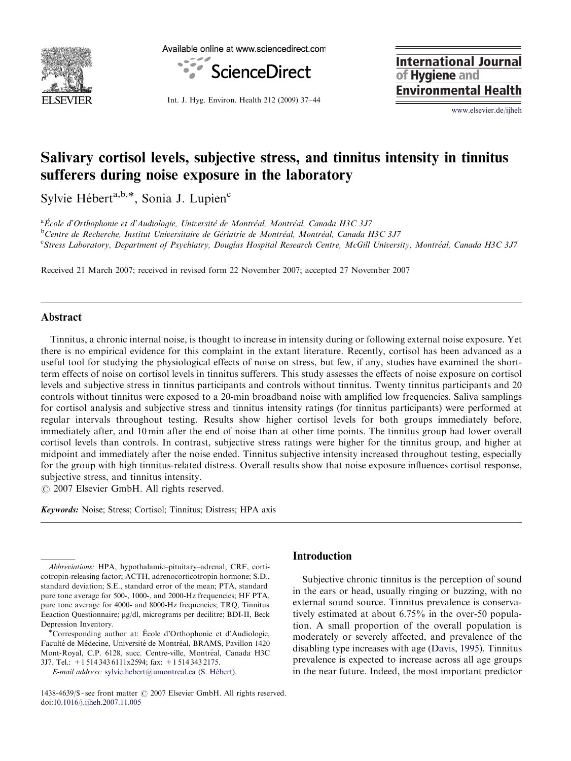

Available online at www.sciencedirect.com



**International Journal** of Hygiene and **Environmental Health** 

Int. J. Hyg. Environ. Health 212 (2009) 37–44

<www.elsevier.de/ijheh>

# Salivary cortisol levels, subjective stress, and tinnitus intensity in tinnitus sufferers during noise exposure in the laboratory

Sylvie Hébert<sup>a,b,\*</sup>, Sonia J. Lupien<sup>c</sup>

<sup>a</sup>École d'Orthophonie et d'Audiologie, Université de Montréal, Montréal, Canada H3C 3J7<br><sup>b</sup>Centre de Becherche, Institut Universitaire de Gériatrie de Montréal, Montréal, Canada I  $^{\rm b}$ Centre de Recherche, Institut Universitaire de Gériatrie de Montréal, Montréal, Canada H3C 3J7 <sup>c</sup>Stress Laboratory, Department of Psychiatry, Douglas Hospital Research Centre, McGill University, Montréal, Canada H3C 3J7

Received 21 March 2007; received in revised form 22 November 2007; accepted 27 November 2007

## Abstract

Tinnitus, a chronic internal noise, is thought to increase in intensity during or following external noise exposure. Yet there is no empirical evidence for this complaint in the extant literature. Recently, cortisol has been advanced as a useful tool for studying the physiological effects of noise on stress, but few, if any, studies have examined the shortterm effects of noise on cortisol levels in tinnitus sufferers. This study assesses the effects of noise exposure on cortisol levels and subjective stress in tinnitus participants and controls without tinnitus. Twenty tinnitus participants and 20 controls without tinnitus were exposed to a 20-min broadband noise with amplified low frequencies. Saliva samplings for cortisol analysis and subjective stress and tinnitus intensity ratings (for tinnitus participants) were performed at regular intervals throughout testing. Results show higher cortisol levels for both groups immediately before, immediately after, and 10 min after the end of noise than at other time points. The tinnitus group had lower overall cortisol levels than controls. In contrast, subjective stress ratings were higher for the tinnitus group, and higher at midpoint and immediately after the noise ended. Tinnitus subjective intensity increased throughout testing, especially for the group with high tinnitus-related distress. Overall results show that noise exposure influences cortisol response, subjective stress, and tinnitus intensity.

© 2007 Elsevier GmbH. All rights reserved.

Keywords: Noise; Stress; Cortisol; Tinnitus; Distress; HPA axis

E-mail address: sylvie.hebert@umontreal.ca (S. Hébert).

## Introduction

Subjective chronic tinnitus is the perception of sound in the ears or head, usually ringing or buzzing, with no external sound source. Tinnitus prevalence is conservatively estimated at about 6.75% in the over-50 population. A small proportion of the overall population is moderately or severely affected, and prevalence of the disabling type increases with age ([Davis, 1995](#page-6-0)). Tinnitus prevalence is expected to increase across all age groups in the near future. Indeed, the most important predictor

Abbreviations: HPA, hypothalamic–pituitary–adrenal; CRF, corticotropin-releasing factor; ACTH, adrenocorticotropin hormone; S.D., standard deviation; S.E., standard error of the mean; PTA, standard pure tone average for 500-, 1000-, and 2000-Hz frequencies; HF PTA, pure tone average for 4000- and 8000-Hz frequencies; TRQ, Tinnitus Eeaction Questionnaire; µg/dl, micrograms per decilitre; BDI-II, Beck Depression Inventory.

<sup>\*</sup>Corresponding author at: École d'Orthophonie et d'Audiologie, Faculté de Médecine, Université de Montréal, BRAMS, Pavillon 1420 Mont-Royal, C.P. 6128, succ. Centre-ville, Montréal, Canada H3C 3J7. Tel.: +1 514 343 6111x2594; fax: +1 514 343 2175.

<sup>1438-4639/\$ -</sup> see front matter  $\odot$  2007 Elsevier GmbH. All rights reserved. doi:[10.1016/j.ijheh.2007.11.005](dx.doi.org/10.1016/j.ijheh.2007.11.005)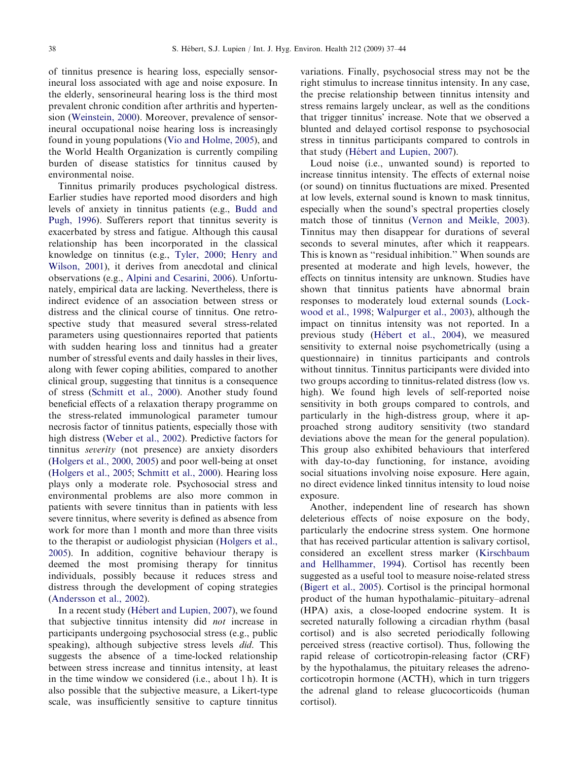of tinnitus presence is hearing loss, especially sensorineural loss associated with age and noise exposure. In the elderly, sensorineural hearing loss is the third most prevalent chronic condition after arthritis and hypertension ([Weinstein, 2000](#page-7-0)). Moreover, prevalence of sensorineural occupational noise hearing loss is increasingly found in young populations ([Vio and Holme, 2005](#page-7-0)), and the World Health Organization is currently compiling burden of disease statistics for tinnitus caused by environmental noise.

Tinnitus primarily produces psychological distress. Earlier studies have reported mood disorders and high levels of anxiety in tinnitus patients (e.g., [Budd and](#page-6-0) [Pugh, 1996](#page-6-0)). Sufferers report that tinnitus severity is exacerbated by stress and fatigue. Although this causal relationship has been incorporated in the classical knowledge on tinnitus (e.g., [Tyler, 2000](#page-7-0); [Henry and](#page-6-0) [Wilson, 2001\)](#page-6-0), it derives from anecdotal and clinical observations (e.g., [Alpini and Cesarini, 2006\)](#page-6-0). Unfortunately, empirical data are lacking. Nevertheless, there is indirect evidence of an association between stress or distress and the clinical course of tinnitus. One retrospective study that measured several stress-related parameters using questionnaires reported that patients with sudden hearing loss and tinnitus had a greater number of stressful events and daily hassles in their lives, along with fewer coping abilities, compared to another clinical group, suggesting that tinnitus is a consequence of stress ([Schmitt et al., 2000](#page-7-0)). Another study found beneficial effects of a relaxation therapy programme on the stress-related immunological parameter tumour necrosis factor of tinnitus patients, especially those with high distress ([Weber et al., 2002\)](#page-7-0). Predictive factors for tinnitus severity (not presence) are anxiety disorders ([Holgers et al., 2000, 2005\)](#page-6-0) and poor well-being at onset ([Holgers et al., 2005;](#page-6-0) [Schmitt et al., 2000\)](#page-7-0). Hearing loss plays only a moderate role. Psychosocial stress and environmental problems are also more common in patients with severe tinnitus than in patients with less severe tinnitus, where severity is defined as absence from work for more than 1 month and more than three visits to the therapist or audiologist physician [\(Holgers et al.,](#page-6-0) [2005\)](#page-6-0). In addition, cognitive behaviour therapy is deemed the most promising therapy for tinnitus individuals, possibly because it reduces stress and distress through the development of coping strategies ([Andersson et al., 2002](#page-6-0)).

In a recent study (Hébert and Lupien, 2007), we found that subjective tinnitus intensity did not increase in participants undergoing psychosocial stress (e.g., public speaking), although subjective stress levels did. This suggests the absence of a time-locked relationship between stress increase and tinnitus intensity, at least in the time window we considered (i.e., about 1 h). It is also possible that the subjective measure, a Likert-type scale, was insufficiently sensitive to capture tinnitus variations. Finally, psychosocial stress may not be the right stimulus to increase tinnitus intensity. In any case, the precise relationship between tinnitus intensity and stress remains largely unclear, as well as the conditions that trigger tinnitus' increase. Note that we observed a blunted and delayed cortisol response to psychosocial stress in tinnitus participants compared to controls in that study (Hébert and Lupien, 2007).

Loud noise (i.e., unwanted sound) is reported to increase tinnitus intensity. The effects of external noise (or sound) on tinnitus fluctuations are mixed. Presented at low levels, external sound is known to mask tinnitus, especially when the sound's spectral properties closely match those of tinnitus ([Vernon and Meikle, 2003\)](#page-7-0). Tinnitus may then disappear for durations of several seconds to several minutes, after which it reappears. This is known as ''residual inhibition.'' When sounds are presented at moderate and high levels, however, the effects on tinnitus intensity are unknown. Studies have shown that tinnitus patients have abnormal brain responses to moderately loud external sounds [\(Lock](#page-6-0)[wood et al., 1998;](#page-6-0) [Walpurger et al., 2003](#page-7-0)), although the impact on tinnitus intensity was not reported. In a previous study (Hébert et al., 2004), we measured sensitivity to external noise psychometrically (using a questionnaire) in tinnitus participants and controls without tinnitus. Tinnitus participants were divided into two groups according to tinnitus-related distress (low vs. high). We found high levels of self-reported noise sensitivity in both groups compared to controls, and particularly in the high-distress group, where it approached strong auditory sensitivity (two standard deviations above the mean for the general population). This group also exhibited behaviours that interfered with day-to-day functioning, for instance, avoiding social situations involving noise exposure. Here again, no direct evidence linked tinnitus intensity to loud noise exposure.

Another, independent line of research has shown deleterious effects of noise exposure on the body, particularly the endocrine stress system. One hormone that has received particular attention is salivary cortisol, considered an excellent stress marker [\(Kirschbaum](#page-6-0) [and Hellhammer, 1994\)](#page-6-0). Cortisol has recently been suggested as a useful tool to measure noise-related stress ([Bigert et al., 2005\)](#page-6-0). Cortisol is the principal hormonal product of the human hypothalamic–pituitary–adrenal (HPA) axis, a close-looped endocrine system. It is secreted naturally following a circadian rhythm (basal cortisol) and is also secreted periodically following perceived stress (reactive cortisol). Thus, following the rapid release of corticotropin-releasing factor (CRF) by the hypothalamus, the pituitary releases the adrenocorticotropin hormone (ACTH), which in turn triggers the adrenal gland to release glucocorticoids (human cortisol).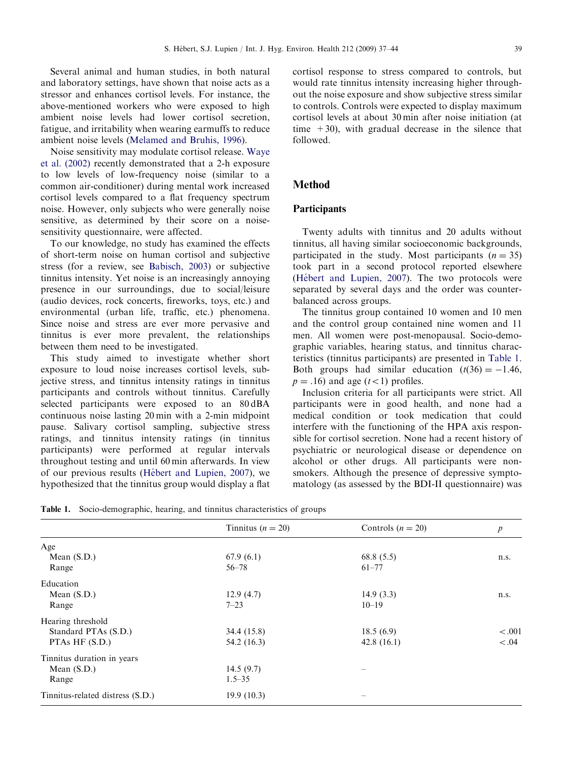Several animal and human studies, in both natural and laboratory settings, have shown that noise acts as a stressor and enhances cortisol levels. For instance, the above-mentioned workers who were exposed to high ambient noise levels had lower cortisol secretion, fatigue, and irritability when wearing earmuffs to reduce ambient noise levels [\(Melamed and Bruhis, 1996](#page-6-0)).

Noise sensitivity may modulate cortisol release. [Waye](#page-7-0) [et al. \(2002\)](#page-7-0) recently demonstrated that a 2-h exposure to low levels of low-frequency noise (similar to a common air-conditioner) during mental work increased cortisol levels compared to a flat frequency spectrum noise. However, only subjects who were generally noise sensitive, as determined by their score on a noisesensitivity questionnaire, were affected.

To our knowledge, no study has examined the effects of short-term noise on human cortisol and subjective stress (for a review, see [Babisch, 2003\)](#page-6-0) or subjective tinnitus intensity. Yet noise is an increasingly annoying presence in our surroundings, due to social/leisure (audio devices, rock concerts, fireworks, toys, etc.) and environmental (urban life, traffic, etc.) phenomena. Since noise and stress are ever more pervasive and tinnitus is ever more prevalent, the relationships between them need to be investigated.

This study aimed to investigate whether short exposure to loud noise increases cortisol levels, subjective stress, and tinnitus intensity ratings in tinnitus participants and controls without tinnitus. Carefully selected participants were exposed to an 80 dBA continuous noise lasting 20 min with a 2-min midpoint pause. Salivary cortisol sampling, subjective stress ratings, and tinnitus intensity ratings (in tinnitus participants) were performed at regular intervals throughout testing and until 60 min afterwards. In view of our previous results (Hébert and Lupien, 2007), we hypothesized that the tinnitus group would display a flat cortisol response to stress compared to controls, but would rate tinnitus intensity increasing higher throughout the noise exposure and show subjective stress similar to controls. Controls were expected to display maximum cortisol levels at about 30 min after noise initiation (at time  $+30$ , with gradual decrease in the silence that followed.

## Method

## Participants

Twenty adults with tinnitus and 20 adults without tinnitus, all having similar socioeconomic backgrounds, participated in the study. Most participants  $(n = 35)$ took part in a second protocol reported elsewhere (Hébert and Lupien, 2007). The two protocols were separated by several days and the order was counterbalanced across groups.

The tinnitus group contained 10 women and 10 men and the control group contained nine women and 11 men. All women were post-menopausal. Socio-demographic variables, hearing status, and tinnitus characteristics (tinnitus participants) are presented in Table 1. Both groups had similar education  $(t(36) = -1.46$ ,  $p = .16$ ) and age ( $t < 1$ ) profiles.

Inclusion criteria for all participants were strict. All participants were in good health, and none had a medical condition or took medication that could interfere with the functioning of the HPA axis responsible for cortisol secretion. None had a recent history of psychiatric or neurological disease or dependence on alcohol or other drugs. All participants were nonsmokers. Although the presence of depressive symptomatology (as assessed by the BDI-II questionnaire) was

Table 1. Socio-demographic, hearing, and tinnitus characteristics of groups

|                                  | Tinnitus ( $n = 20$ ) | Controls $(n = 20)$ | $\boldsymbol{p}$ |  |
|----------------------------------|-----------------------|---------------------|------------------|--|
| Age                              |                       |                     |                  |  |
| Mean $(S.D.)$                    | 67.9(6.1)             | 68.8(5.5)           | n.s.             |  |
| Range                            | $56 - 78$             | $61 - 77$           |                  |  |
| Education                        |                       |                     |                  |  |
| Mean $(S.D.)$                    | 12.9(4.7)             | 14.9(3.3)           | n.s.             |  |
| Range                            | $7 - 23$              | $10 - 19$           |                  |  |
| Hearing threshold                |                       |                     |                  |  |
| Standard PTAs (S.D.)             | 34.4 (15.8)           | 18.5(6.9)           | $-.001$          |  |
| PTAs HF (S.D.)                   | 54.2 (16.3)           | 42.8(16.1)          | $-.04$           |  |
| Tinnitus duration in years       |                       |                     |                  |  |
| Mean $(S.D.)$                    | 14.5(9.7)             |                     |                  |  |
| Range                            | $1.5 - 35$            |                     |                  |  |
| Tinnitus-related distress (S.D.) | 19.9(10.3)            |                     |                  |  |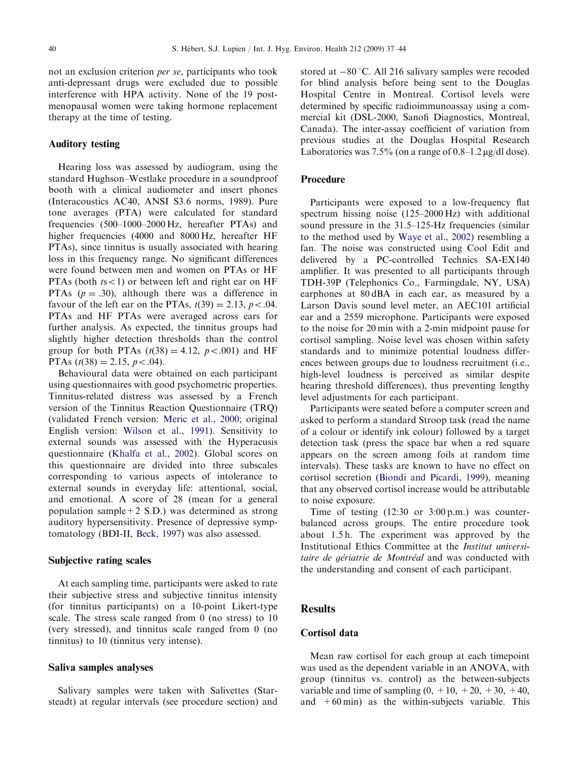not an exclusion criterion per se, participants who took anti-depressant drugs were excluded due to possible interference with HPA activity. None of the 19 postmenopausal women were taking hormone replacement therapy at the time of testing.

#### Auditory testing

Hearing loss was assessed by audiogram, using the standard Hughson–Westlake procedure in a soundproof booth with a clinical audiometer and insert phones (Interacoustics AC40, ANSI S3.6 norms, 1989). Pure tone averages (PTA) were calculated for standard frequencies (500–1000–2000 Hz, hereafter PTAs) and higher frequencies (4000 and 8000 Hz, hereafter HF PTAs), since tinnitus is usually associated with hearing loss in this frequency range. No significant differences were found between men and women on PTAs or HF PTAs (both  $ts < 1$ ) or between left and right ear on HF PTAs  $(p = .30)$ , although there was a difference in favour of the left ear on the PTAs,  $t(39) = 2.13$ ,  $p < .04$ . PTAs and HF PTAs were averaged across ears for further analysis. As expected, the tinnitus groups had slightly higher detection thresholds than the control group for both PTAs  $(t(38) = 4.12, p < .001)$  and HF PTAs  $(t(38) = 2.15, p < .04)$ .

Behavioural data were obtained on each participant using questionnaires with good psychometric properties. Tinnitus-related distress was assessed by a French version of the Tinnitus Reaction Questionnaire (TRQ) (validated French version: [Meric et al., 2000;](#page-7-0) original English version: [Wilson et al., 1991](#page-7-0)). Sensitivity to external sounds was assessed with the Hyperacusis questionnaire ([Khalfa et al., 2002](#page-6-0)). Global scores on this questionnaire are divided into three subscales corresponding to various aspects of intolerance to external sounds in everyday life: attentional, social, and emotional. A score of 28 (mean for a general population sample+2 S.D.) was determined as strong auditory hypersensitivity. Presence of depressive symptomatology (BDI-II, [Beck, 1997](#page-6-0)) was also assessed.

#### Subjective rating scales

At each sampling time, participants were asked to rate their subjective stress and subjective tinnitus intensity (for tinnitus participants) on a 10-point Likert-type scale. The stress scale ranged from 0 (no stress) to 10 (very stressed), and tinnitus scale ranged from 0 (no tinnitus) to 10 (tinnitus very intense).

#### Saliva samples analyses

Salivary samples were taken with Salivettes (Starsteadt) at regular intervals (see procedure section) and stored at  $-80$  °C. All 216 salivary samples were recoded for blind analysis before being sent to the Douglas Hospital Centre in Montreal. Cortisol levels were determined by specific radioimmunoassay using a commercial kit (DSL-2000, Sanofi Diagnostics, Montreal, Canada). The inter-assay coefficient of variation from previous studies at the Douglas Hospital Research Laboratories was  $7.5\%$  (on a range of  $0.8-1.2 \mu g/dl$  dose).

#### Procedure

Participants were exposed to a low-frequency flat spectrum hissing noise (125–2000 Hz) with additional sound pressure in the 31.5–125-Hz frequencies (similar to the method used by [Waye et al., 2002](#page-7-0)) resembling a fan. The noise was constructed using Cool Edit and delivered by a PC-controlled Technics SA-EX140 amplifier. It was presented to all participants through TDH-39P (Telephonics Co., Farmingdale, NY, USA) earphones at 80 dBA in each ear, as measured by a Larson Davis sound level meter, an AEC101 artificial ear and a 2559 microphone. Participants were exposed to the noise for 20 min with a 2-min midpoint pause for cortisol sampling. Noise level was chosen within safety standards and to minimize potential loudness differences between groups due to loudness recruitment (i.e., high-level loudness is perceived as similar despite hearing threshold differences), thus preventing lengthy level adjustments for each participant.

Participants were seated before a computer screen and asked to perform a standard Stroop task (read the name of a colour or identify ink colour) followed by a target detection task (press the space bar when a red square appears on the screen among foils at random time intervals). These tasks are known to have no effect on cortisol secretion [\(Biondi and Picardi, 1999](#page-6-0)), meaning that any observed cortisol increase would be attributable to noise exposure.

Time of testing (12:30 or 3:00 p.m.) was counterbalanced across groups. The entire procedure took about 1.5 h. The experiment was approved by the Institutional Ethics Committee at the Institut universitaire de gériatrie de Montréal and was conducted with the understanding and consent of each participant.

## **Results**

#### Cortisol data

Mean raw cortisol for each group at each timepoint was used as the dependent variable in an ANOVA, with group (tinnitus vs. control) as the between-subjects variable and time of sampling  $(0, +10, +20, +30, +40,$ and  $+60$  min) as the within-subjects variable. This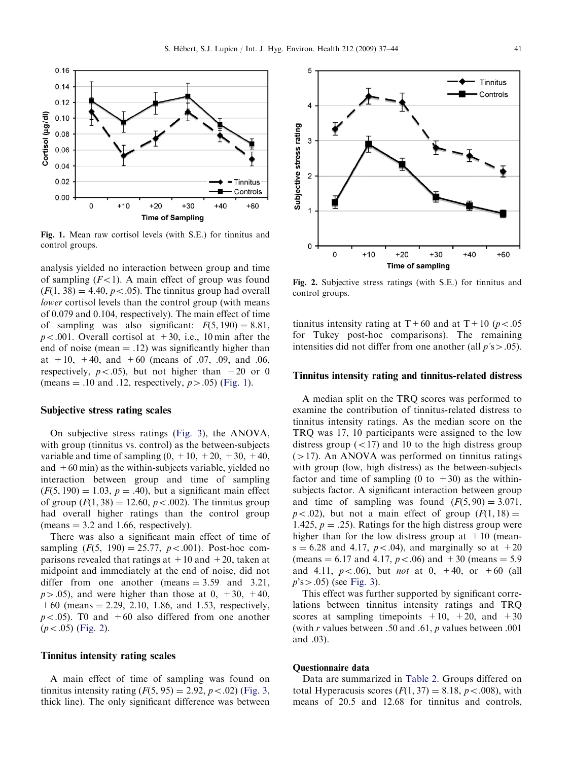

Fig. 1. Mean raw cortisol levels (with S.E.) for tinnitus and control groups.

analysis yielded no interaction between group and time of sampling  $(F<1)$ . A main effect of group was found  $(F(1, 38) = 4.40, p < .05)$ . The tinnitus group had overall lower cortisol levels than the control group (with means of 0.079 and 0.104, respectively). The main effect of time of sampling was also significant:  $F(5, 190) = 8.81$ ,  $p < .001$ . Overall cortisol at  $+30$ , i.e., 10 min after the end of noise (mean  $= .12$ ) was significantly higher than at  $+10$ ,  $+40$ , and  $+60$  (means of 0.07, 0.09, and 0.06, respectively,  $p < .05$ ), but not higher than  $+20$  or 0 (means  $= .10$  and .12, respectively,  $p > .05$ ) (Fig. 1).

#### Subjective stress rating scales

On subjective stress ratings ([Fig. 3\)](#page-5-0), the ANOVA, with group (tinnitus vs. control) as the between-subjects variable and time of sampling  $(0, +10, +20, +30, +40,$ and  $+60$  min) as the within-subjects variable, yielded no interaction between group and time of sampling  $(F(5, 190) = 1.03, p = .40)$ , but a significant main effect of group  $(F(1, 38) = 12.60, p < .002)$ . The tinnitus group had overall higher ratings than the control group (means  $= 3.2$  and 1.66, respectively).

There was also a significant main effect of time of sampling  $(F(5, 190) = 25.77, p < .001)$ . Post-hoc comparisons revealed that ratings at  $+10$  and  $+20$ , taken at midpoint and immediately at the end of noise, did not differ from one another (means  $= 3.59$  and 3.21,  $p>0.05$ ), and were higher than those at 0, +30, +40,  $+60$  (means  $= 2.29, 2.10, 1.86,$  and 1.53, respectively,  $p < .05$ ). T0 and  $+60$  also differed from one another  $(p<.05)$  (Fig. 2).

#### Tinnitus intensity rating scales

A main effect of time of sampling was found on tinnitus intensity rating  $(F(5, 95) = 2.92, p < .02)$  [\(Fig. 3,](#page-5-0) thick line). The only significant difference was between



Fig. 2. Subjective stress ratings (with S.E.) for tinnitus and control groups.

tinnitus intensity rating at T+60 and at T+10 ( $p < .05$ ) for Tukey post-hoc comparisons). The remaining intensities did not differ from one another (all  $p's > .05$ ).

#### Tinnitus intensity rating and tinnitus-related distress

A median split on the TRQ scores was performed to examine the contribution of tinnitus-related distress to tinnitus intensity ratings. As the median score on the TRQ was 17, 10 participants were assigned to the low distress group  $(<17)$  and 10 to the high distress group  $(>17)$ . An ANOVA was performed on tinnitus ratings with group (low, high distress) as the between-subjects factor and time of sampling (0 to  $+30$ ) as the withinsubjects factor. A significant interaction between group and time of sampling was found  $(F(5, 90) = 3.071,$  $p < .02$ ), but not a main effect of group  $(F(1, 18)) =$ 1.425,  $p = .25$ ). Ratings for the high distress group were higher than for the low distress group at  $+10$  (mean $s = 6.28$  and 4.17,  $p < .04$ ), and marginally so at  $+20$ (means = 6.17 and 4.17,  $p < .06$ ) and +30 (means = 5.9) and 4.11,  $p < .06$ ), but *not* at 0, +40, or +60 (all  $p$ 's > .05) (see [Fig. 3](#page-5-0)).

This effect was further supported by significant correlations between tinnitus intensity ratings and TRQ scores at sampling timepoints  $+10$ ,  $+20$ , and  $+30$ (with  $r$  values between .50 and .61,  $p$  values between .001 and .03).

#### Questionnaire data

Data are summarized in [Table 2.](#page-5-0) Groups differed on total Hyperacusis scores  $(F(1, 37) = 8.18, p < .008)$ , with means of 20.5 and 12.68 for tinnitus and controls,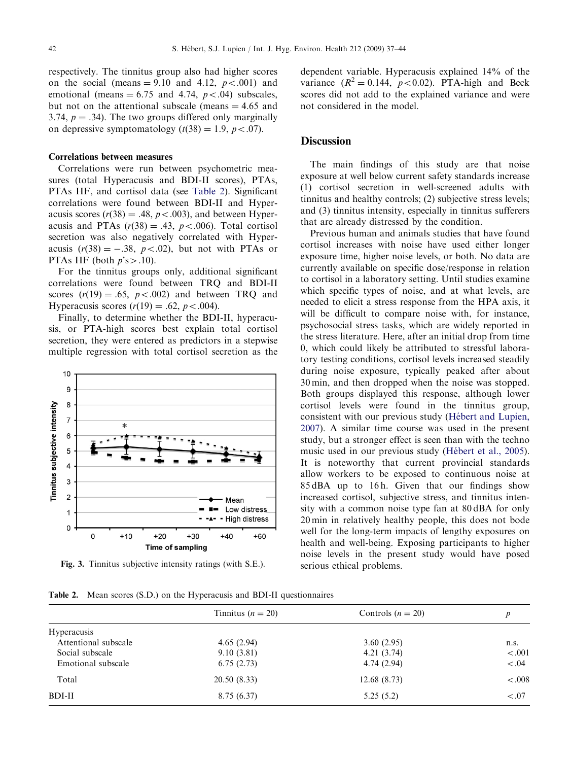<span id="page-5-0"></span>respectively. The tinnitus group also had higher scores on the social (means  $= 9.10$  and 4.12,  $p < .001$ ) and emotional (means  $= 6.75$  and 4.74,  $p < .04$ ) subscales, but not on the attentional subscale (means  $= 4.65$  and 3.74,  $p = .34$ ). The two groups differed only marginally on depressive symptomatology  $(t(38) = 1.9, p < .07)$ .

#### Correlations between measures

Correlations were run between psychometric measures (total Hyperacusis and BDI-II scores), PTAs, PTAs HF, and cortisol data (see Table 2). Significant correlations were found between BDI-II and Hyperacusis scores  $(r(38) = .48, p < .003)$ , and between Hyperacusis and PTAs  $(r(38) = .43, p < .006)$ . Total cortisol secretion was also negatively correlated with Hyperacusis  $(r(38) = -.38, p < .02)$ , but not with PTAs or PTAs HF (both  $p$ 's  $> .10$ ).

For the tinnitus groups only, additional significant correlations were found between TRQ and BDI-II scores  $(r(19) = .65, p < .002)$  and between TRQ and Hyperacusis scores  $(r(19) = .62, p < .004)$ .

Finally, to determine whether the BDI-II, hyperacusis, or PTA-high scores best explain total cortisol secretion, they were entered as predictors in a stepwise multiple regression with total cortisol secretion as the



Fig. 3. Tinnitus subjective intensity ratings (with S.E.).

Table 2. Mean scores (S.D.) on the Hyperacusis and BDI-II questionnaires

dependent variable. Hyperacusis explained 14% of the variance  $(R^2 = 0.144, p < 0.02)$ . PTA-high and Beck scores did not add to the explained variance and were not considered in the model.

#### **Discussion**

The main findings of this study are that noise exposure at well below current safety standards increase (1) cortisol secretion in well-screened adults with tinnitus and healthy controls; (2) subjective stress levels; and (3) tinnitus intensity, especially in tinnitus sufferers that are already distressed by the condition.

Previous human and animals studies that have found cortisol increases with noise have used either longer exposure time, higher noise levels, or both. No data are currently available on specific dose/response in relation to cortisol in a laboratory setting. Until studies examine which specific types of noise, and at what levels, are needed to elicit a stress response from the HPA axis, it will be difficult to compare noise with, for instance, psychosocial stress tasks, which are widely reported in the stress literature. Here, after an initial drop from time 0, which could likely be attributed to stressful laboratory testing conditions, cortisol levels increased steadily during noise exposure, typically peaked after about 30 min, and then dropped when the noise was stopped. Both groups displayed this response, although lower cortisol levels were found in the tinnitus group, consistent with our previous study (Hébert and Lupien, [2007\)](#page-6-0). A similar time course was used in the present study, but a stronger effect is seen than with the techno music used in our previous study (Hébert et al., 2005). It is noteworthy that current provincial standards allow workers to be exposed to continuous noise at 85 dBA up to 16 h. Given that our findings show increased cortisol, subjective stress, and tinnitus intensity with a common noise type fan at 80 dBA for only 20 min in relatively healthy people, this does not bode well for the long-term impacts of lengthy exposures on health and well-being. Exposing participants to higher noise levels in the present study would have posed serious ethical problems.

|                      | Tinnitus ( $n = 20$ ) | Controls $(n = 20)$ | p       |
|----------------------|-----------------------|---------------------|---------|
| <b>Hyperacusis</b>   |                       |                     |         |
| Attentional subscale | 4.65(2.94)            | 3.60(2.95)          | n.s.    |
| Social subscale      | 9.10(3.81)            | 4.21(3.74)          | $-.001$ |
| Emotional subscale   | 6.75(2.73)            | 4.74(2.94)          | $-.04$  |
| Total                | 20.50(8.33)           | 12.68(8.73)         | $-.008$ |
| BDI-II               | 8.75(6.37)            | 5.25(5.2)           | $-.07$  |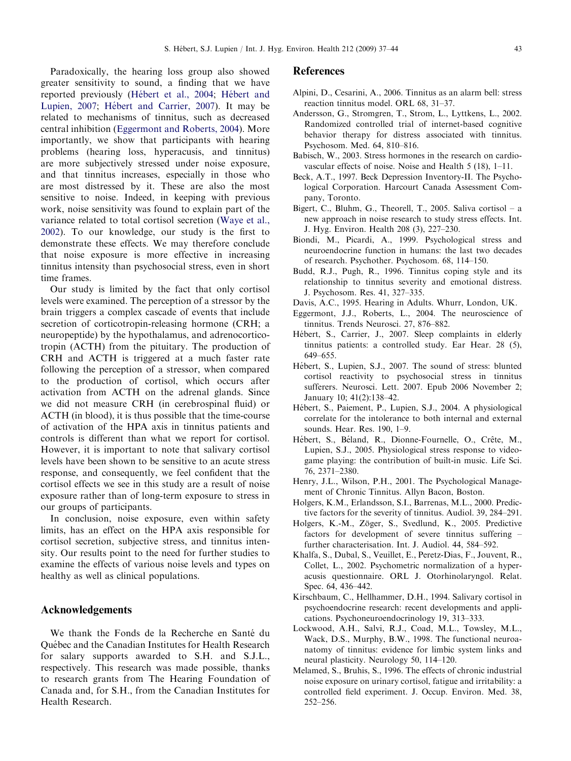<span id="page-6-0"></span>Paradoxically, the hearing loss group also showed greater sensitivity to sound, a finding that we have reported previously (Hébert et al., 2004; Hébert and Lupien, 2007; Hébert and Carrier, 2007). It may be related to mechanisms of tinnitus, such as decreased central inhibition (Eggermont and Roberts, 2004). More importantly, we show that participants with hearing problems (hearing loss, hyperacusis, and tinnitus) are more subjectively stressed under noise exposure, and that tinnitus increases, especially in those who are most distressed by it. These are also the most sensitive to noise. Indeed, in keeping with previous work, noise sensitivity was found to explain part of the variance related to total cortisol secretion ([Waye et al.,](#page-7-0) [2002](#page-7-0)). To our knowledge, our study is the first to demonstrate these effects. We may therefore conclude that noise exposure is more effective in increasing tinnitus intensity than psychosocial stress, even in short time frames.

Our study is limited by the fact that only cortisol levels were examined. The perception of a stressor by the brain triggers a complex cascade of events that include secretion of corticotropin-releasing hormone (CRH; a neuropeptide) by the hypothalamus, and adrenocorticotropin (ACTH) from the pituitary. The production of CRH and ACTH is triggered at a much faster rate following the perception of a stressor, when compared to the production of cortisol, which occurs after activation from ACTH on the adrenal glands. Since we did not measure CRH (in cerebrospinal fluid) or ACTH (in blood), it is thus possible that the time-course of activation of the HPA axis in tinnitus patients and controls is different than what we report for cortisol. However, it is important to note that salivary cortisol levels have been shown to be sensitive to an acute stress response, and consequently, we feel confident that the cortisol effects we see in this study are a result of noise exposure rather than of long-term exposure to stress in our groups of participants.

In conclusion, noise exposure, even within safety limits, has an effect on the HPA axis responsible for cortisol secretion, subjective stress, and tinnitus intensity. Our results point to the need for further studies to examine the effects of various noise levels and types on healthy as well as clinical populations.

## Acknowledgements

We thank the Fonds de la Recherche en Santé du Québec and the Canadian Institutes for Health Research for salary supports awarded to S.H. and S.J.L., respectively. This research was made possible, thanks to research grants from The Hearing Foundation of Canada and, for S.H., from the Canadian Institutes for Health Research.

## **References**

- Alpini, D., Cesarini, A., 2006. Tinnitus as an alarm bell: stress reaction tinnitus model. ORL 68, 31–37.
- Andersson, G., Stromgren, T., Strom, L., Lyttkens, L., 2002. Randomized controlled trial of internet-based cognitive behavior therapy for distress associated with tinnitus. Psychosom. Med. 64, 810–816.
- Babisch, W., 2003. Stress hormones in the research on cardiovascular effects of noise. Noise and Health 5 (18), 1–11.
- Beck, A.T., 1997. Beck Depression Inventory-II. The Psychological Corporation. Harcourt Canada Assessment Company, Toronto.
- Bigert, C., Bluhm, G., Theorell, T., 2005. Saliva cortisol a new approach in noise research to study stress effects. Int. J. Hyg. Environ. Health 208 (3), 227–230.
- Biondi, M., Picardi, A., 1999. Psychological stress and neuroendocrine function in humans: the last two decades of research. Psychother. Psychosom. 68, 114–150.
- Budd, R.J., Pugh, R., 1996. Tinnitus coping style and its relationship to tinnitus severity and emotional distress. J. Psychosom. Res. 41, 327–335.
- Davis, A.C., 1995. Hearing in Adults. Whurr, London, UK.
- Eggermont, J.J., Roberts, L., 2004. The neuroscience of tinnitus. Trends Neurosci. 27, 876–882.
- Hébert, S., Carrier, J., 2007. Sleep complaints in elderly tinnitus patients: a controlled study. Ear Hear. 28 (5), 649–655.
- Hébert, S., Lupien, S.J., 2007. The sound of stress: blunted cortisol reactivity to psychosocial stress in tinnitus sufferers. Neurosci. Lett. 2007. Epub 2006 November 2; January 10; 41(2):138–42.
- Hébert, S., Paiement, P., Lupien, S.J., 2004. A physiological correlate for the intolerance to both internal and external sounds. Hear. Res. 190, 1–9.
- Hébert, S., Béland, R., Dionne-Fournelle, O., Crête, M., Lupien, S.J., 2005. Physiological stress response to videogame playing: the contribution of built-in music. Life Sci. 76, 2371–2380.
- Henry, J.L., Wilson, P.H., 2001. The Psychological Management of Chronic Tinnitus. Allyn Bacon, Boston.
- Holgers, K.M., Erlandsson, S.I., Barrenas, M.L., 2000. Predictive factors for the severity of tinnitus. Audiol. 39, 284–291.
- Holgers, K.-M., Zöger, S., Svedlund, K., 2005. Predictive factors for development of severe tinnitus suffering – further characterisation. Int. J. Audiol. 44, 584–592.
- Khalfa, S., Dubal, S., Veuillet, E., Peretz-Dias, F., Jouvent, R., Collet, L., 2002. Psychometric normalization of a hyperacusis questionnaire. ORL J. Otorhinolaryngol. Relat. Spec. 64, 436–442.
- Kirschbaum, C., Hellhammer, D.H., 1994. Salivary cortisol in psychoendocrine research: recent developments and applications. Psychoneuroendocrinology 19, 313–333.
- Lockwood, A.H., Salvi, R.J., Coad, M.L., Towsley, M.L., Wack, D.S., Murphy, B.W., 1998. The functional neuroanatomy of tinnitus: evidence for limbic system links and neural plasticity. Neurology 50, 114–120.
- Melamed, S., Bruhis, S., 1996. The effects of chronic industrial noise exposure on urinary cortisol, fatigue and irritability: a controlled field experiment. J. Occup. Environ. Med. 38, 252–256.